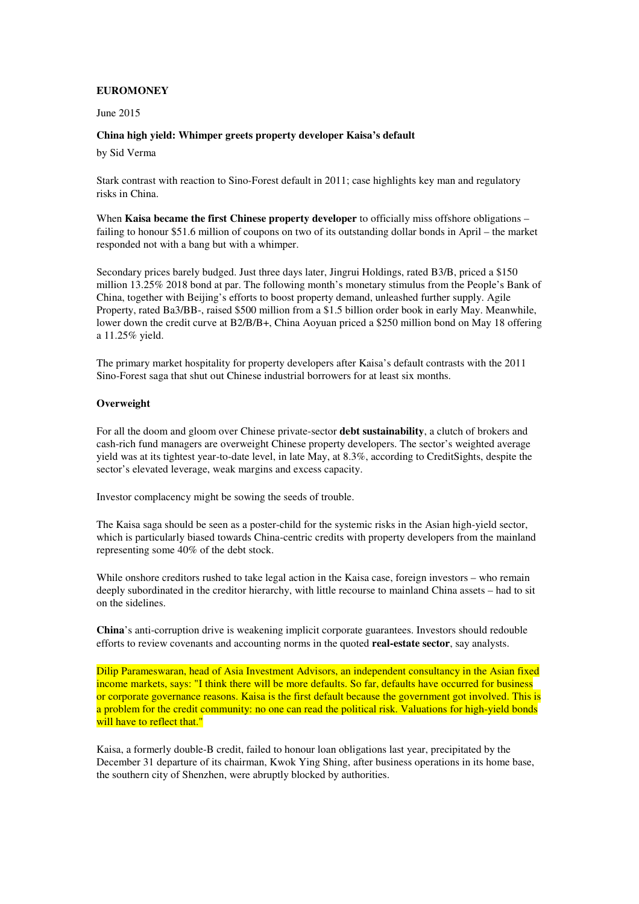# **EUROMONEY**

# June 2015

# **China high yield: Whimper greets property developer Kaisa's default**

by Sid Verma

Stark contrast with reaction to Sino-Forest default in 2011; case highlights key man and regulatory risks in China.

When **Kaisa became the first Chinese property developer** to officially miss offshore obligations – failing to honour \$51.6 million of coupons on two of its outstanding dollar bonds in April – the market responded not with a bang but with a whimper.

Secondary prices barely budged. Just three days later, Jingrui Holdings, rated B3/B, priced a \$150 million 13.25% 2018 bond at par. The following month's monetary stimulus from the People's Bank of China, together with Beijing's efforts to boost property demand, unleashed further supply. Agile Property, rated Ba3/BB-, raised \$500 million from a \$1.5 billion order book in early May. Meanwhile, lower down the credit curve at B2/B/B+, China Aoyuan priced a \$250 million bond on May 18 offering a 11.25% yield.

The primary market hospitality for property developers after Kaisa's default contrasts with the 2011 Sino-Forest saga that shut out Chinese industrial borrowers for at least six months.

# **Overweight**

For all the doom and gloom over Chinese private-sector **debt sustainability**, a clutch of brokers and cash-rich fund managers are overweight Chinese property developers. The sector's weighted average yield was at its tightest year-to-date level, in late May, at 8.3%, according to CreditSights, despite the sector's elevated leverage, weak margins and excess capacity.

Investor complacency might be sowing the seeds of trouble.

The Kaisa saga should be seen as a poster-child for the systemic risks in the Asian high-yield sector, which is particularly biased towards China-centric credits with property developers from the mainland representing some 40% of the debt stock.

While onshore creditors rushed to take legal action in the Kaisa case, foreign investors – who remain deeply subordinated in the creditor hierarchy, with little recourse to mainland China assets – had to sit on the sidelines.

**China**'s anti-corruption drive is weakening implicit corporate guarantees. Investors should redouble efforts to review covenants and accounting norms in the quoted **real-estate sector**, say analysts.

Dilip Parameswaran, head of Asia Investment Advisors, an independent consultancy in the Asian fixed income markets, says: "I think there will be more defaults. So far, defaults have occurred for business or corporate governance reasons. Kaisa is the first default because the government got involved. This is a problem for the credit community: no one can read the political risk. Valuations for high-yield bonds will have to reflect that."

Kaisa, a formerly double-B credit, failed to honour loan obligations last year, precipitated by the December 31 departure of its chairman, Kwok Ying Shing, after business operations in its home base, the southern city of Shenzhen, were abruptly blocked by authorities.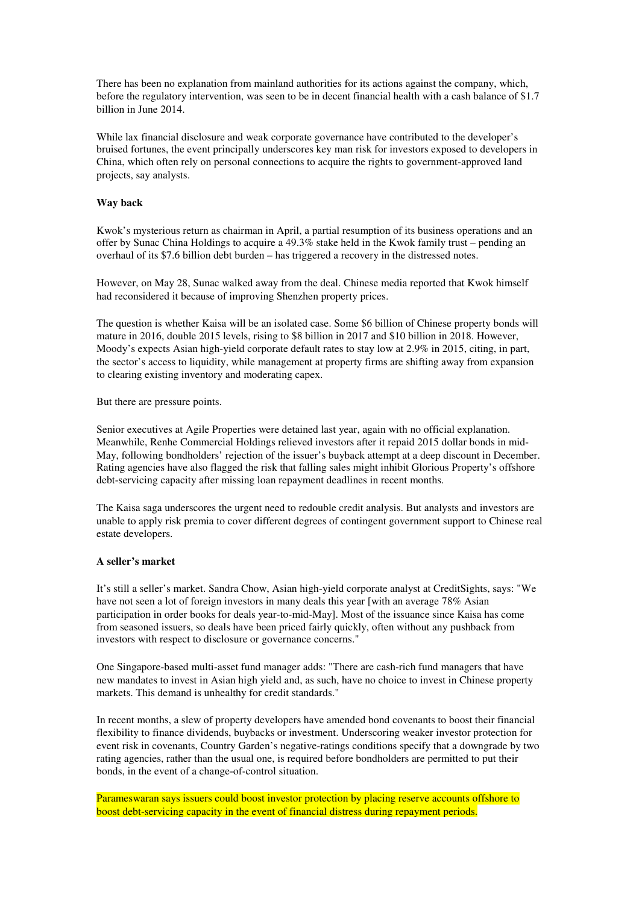There has been no explanation from mainland authorities for its actions against the company, which, before the regulatory intervention, was seen to be in decent financial health with a cash balance of \$1.7 billion in June 2014.

While lax financial disclosure and weak corporate governance have contributed to the developer's bruised fortunes, the event principally underscores key man risk for investors exposed to developers in China, which often rely on personal connections to acquire the rights to government-approved land projects, say analysts.

## **Way back**

Kwok's mysterious return as chairman in April, a partial resumption of its business operations and an offer by Sunac China Holdings to acquire a  $49.3\%$  stake held in the Kwok family trust – pending an overhaul of its \$7.6 billion debt burden – has triggered a recovery in the distressed notes.

However, on May 28, Sunac walked away from the deal. Chinese media reported that Kwok himself had reconsidered it because of improving Shenzhen property prices.

The question is whether Kaisa will be an isolated case. Some \$6 billion of Chinese property bonds will mature in 2016, double 2015 levels, rising to \$8 billion in 2017 and \$10 billion in 2018. However, Moody's expects Asian high-yield corporate default rates to stay low at 2.9% in 2015, citing, in part, the sector's access to liquidity, while management at property firms are shifting away from expansion to clearing existing inventory and moderating capex.

But there are pressure points.

Senior executives at Agile Properties were detained last year, again with no official explanation. Meanwhile, Renhe Commercial Holdings relieved investors after it repaid 2015 dollar bonds in mid-May, following bondholders' rejection of the issuer's buyback attempt at a deep discount in December. Rating agencies have also flagged the risk that falling sales might inhibit Glorious Property's offshore debt-servicing capacity after missing loan repayment deadlines in recent months.

The Kaisa saga underscores the urgent need to redouble credit analysis. But analysts and investors are unable to apply risk premia to cover different degrees of contingent government support to Chinese real estate developers.

### **A seller's market**

It's still a seller's market. Sandra Chow, Asian high-yield corporate analyst at CreditSights, says: "We have not seen a lot of foreign investors in many deals this year [with an average 78% Asian participation in order books for deals year-to-mid-May]. Most of the issuance since Kaisa has come from seasoned issuers, so deals have been priced fairly quickly, often without any pushback from investors with respect to disclosure or governance concerns."

One Singapore-based multi-asset fund manager adds: "There are cash-rich fund managers that have new mandates to invest in Asian high yield and, as such, have no choice to invest in Chinese property markets. This demand is unhealthy for credit standards."

In recent months, a slew of property developers have amended bond covenants to boost their financial flexibility to finance dividends, buybacks or investment. Underscoring weaker investor protection for event risk in covenants, Country Garden's negative-ratings conditions specify that a downgrade by two rating agencies, rather than the usual one, is required before bondholders are permitted to put their bonds, in the event of a change-of-control situation.

Parameswaran says issuers could boost investor protection by placing reserve accounts offshore to boost debt-servicing capacity in the event of financial distress during repayment periods.